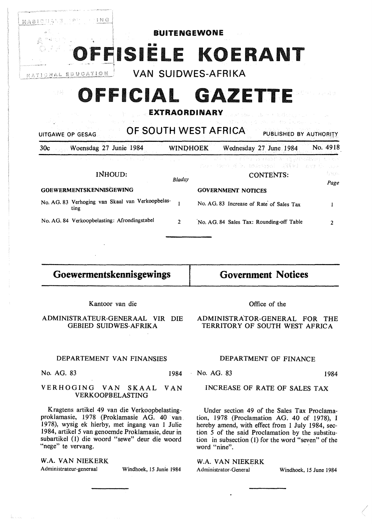

# **OFFICIAL GAZETTE**

### **EXTRAORDINARY**

UITGAWE OP GESAG **OF SOUTH WEST AFRICA** PUBLISHED BY AUTHORITY 30c Woensdag 27 Junie 1984 WINOHOEK Wednesday 27 June 1984 No. 4918 seeni 마을 하다 보니 har. INHOUD: CONTENTS: *Bladsy*  Page **GOEWERMENfSKENNlSGEWING GOVERNMENT NOTICES**  No. AG. 83 Verhoging van Skaal van Verkoopbelas-No. AG. 83 Increase of Rate of Sales Tax  $\mathbf{1}$  $\mathbf{I}$ ting No. AG. 84 Verkoopbelasting: Afrondingstabel 2 No. AG. 84 Sales Tax: Rounding-off Table 2

### **Goewermentskennisgewings**

**Government Notices** 

Kantoor van die

ADMINISTRATEUR-GENERAAL VIR DIE GEBIED SUIDWES-AFRIKA

### DEPARTEMENT VAN FINANSIES

No. AG. 83 1984

-3.63

### VERHOGING VAN SKAAL VAN VERKOOPBELASTING

Kragtens artikel 49 van die Verkoopbelastingproklamasie, 1978 (Proklamasie AG. 40 van. 1978), wysig ek hierby, met ingang van 1 Julie 1984, artikel 5 van genoemde Proklamasie, deur in subartikel (1) die woord "sewe" deur die woord "nege" te vervang.

### *W.A.* **VAN NIEKERK**

Administrateur-generaal Windhoek, 15 Junie 1984

Office of the

### ADMINISTRATOR-GENERAL FOR THE TERRITORY OF SOUTH WEST AFRICA

### DEPARTMENT OF FINANCE

No. AG. 83 1984

### INCREASE OF RATE OF SALES TAX

Under section 49 of the Sales Tax Proclamation, 1978 (Proclamation AG. 40 of 1978), I hereby amend, with effect from 1 July 1984, section 5 of the said Proclamation by the substitution in subsection (1) for the word "seven" of the word "nine".

### **W.A. VAN NIEKERK**

Administrator-General Windhoek, 15 June 1984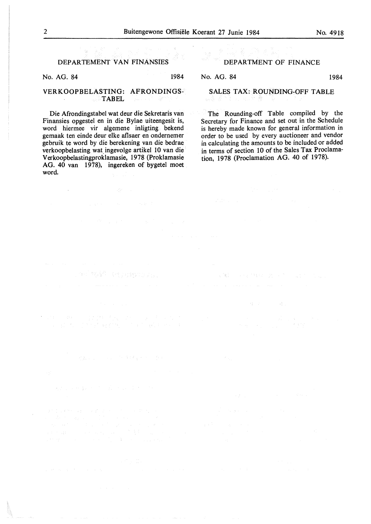### DEPAR TEMENT VAN FINANSIES

No. AG. 84 1984

 $\sim$ 

**Sept 30** 

and the protection part

Sand Co

#### VERKOOPBELASTING: AFRONDINGS-**TABEL**  $\sim$

Die Afrondingstabel wat deur die Sekretaris van Finansies opgestel en in die Bylae uiteengesit is, word hiermee vir algemene inligting bekend gemaak ten einde deur elke aflsaer en ondernemer gebruik te word by die berekening van die bedrae verkoopbelasting wat\_ingevolge artikel 10 van die **V** erkoopbelastingproklamasie, 1978 (Proklamasie AG. 40 van 1978), ingereken of bygetel moet word.

an telah seorang di l

### DEPARTMENT OF FINANCE

No. AG. 84 1984

(上下部)

di serang

### SALES TAX: ROUNDING-OFF TABLE

The Rounding-off Table compiled by the Secretary for Finance and set out in the Schedule is hereby made known for general information in order to be used by every auctioneer and vendor in calculating the amounts to be included or added in terms of section 10 of the Sales Tax Proclamation, 1978 (Proclamation AG. 40 of 1978).